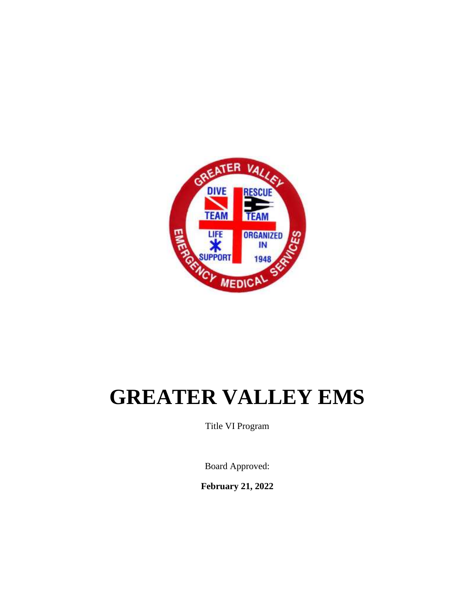

# **GREATER VALLEY EMS**

Title VI Program

Board Approved:

**February 21, 2022**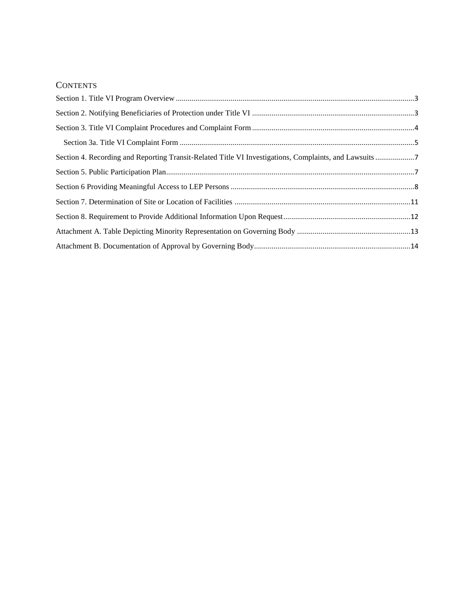#### **CONTENTS**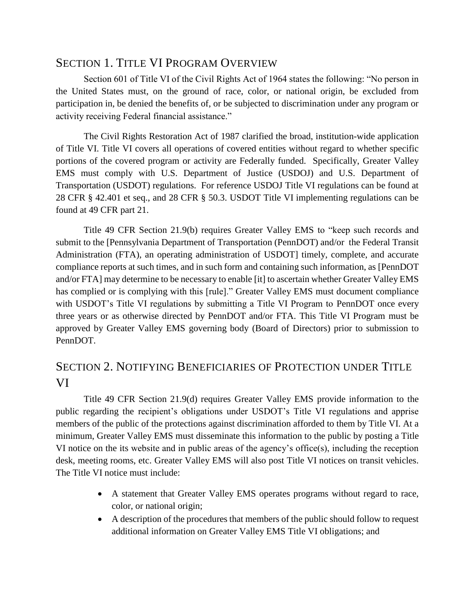#### <span id="page-2-0"></span>SECTION 1. TITLE VI PROGRAM OVERVIEW

Section 601 of Title VI of the Civil Rights Act of 1964 states the following: "No person in the United States must, on the ground of race, color, or national origin, be excluded from participation in, be denied the benefits of, or be subjected to discrimination under any program or activity receiving Federal financial assistance."

The Civil Rights Restoration Act of 1987 clarified the broad, institution-wide application of Title VI. Title VI covers all operations of covered entities without regard to whether specific portions of the covered program or activity are Federally funded. Specifically, Greater Valley EMS must comply with U.S. Department of Justice (USDOJ) and U.S. Department of Transportation (USDOT) regulations. For reference USDOJ Title VI regulations can be found at 28 CFR § 42.401 et seq., and 28 CFR § 50.3. USDOT Title VI implementing regulations can be found at 49 CFR part 21.

Title 49 CFR Section 21.9(b) requires Greater Valley EMS to "keep such records and submit to the [Pennsylvania Department of Transportation (PennDOT) and/or the Federal Transit Administration (FTA), an operating administration of USDOT] timely, complete, and accurate compliance reports at such times, and in such form and containing such information, as [PennDOT and/or FTA] may determine to be necessary to enable [it] to ascertain whether Greater Valley EMS has complied or is complying with this [rule]." Greater Valley EMS must document compliance with USDOT's Title VI regulations by submitting a Title VI Program to PennDOT once every three years or as otherwise directed by PennDOT and/or FTA. This Title VI Program must be approved by Greater Valley EMS governing body (Board of Directors) prior to submission to PennDOT.

## <span id="page-2-1"></span>SECTION 2. NOTIFYING BENEFICIARIES OF PROTECTION UNDER TITLE VI

Title 49 CFR Section 21.9(d) requires Greater Valley EMS provide information to the public regarding the recipient's obligations under USDOT's Title VI regulations and apprise members of the public of the protections against discrimination afforded to them by Title VI. At a minimum, Greater Valley EMS must disseminate this information to the public by posting a Title VI notice on the its website and in public areas of the agency's office(s), including the reception desk, meeting rooms, etc. Greater Valley EMS will also post Title VI notices on transit vehicles. The Title VI notice must include:

- A statement that Greater Valley EMS operates programs without regard to race, color, or national origin;
- A description of the procedures that members of the public should follow to request additional information on Greater Valley EMS Title VI obligations; and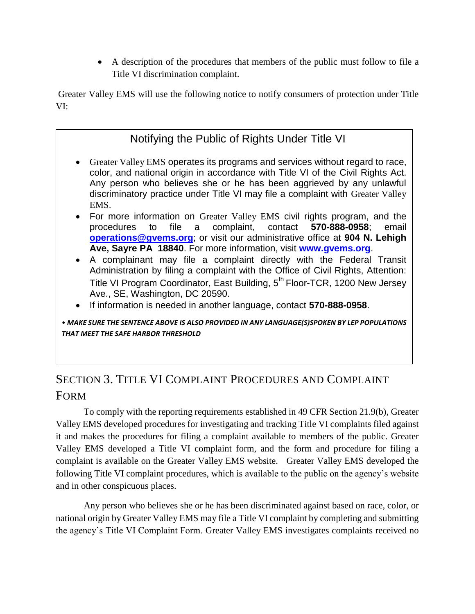A description of the procedures that members of the public must follow to file a Title VI discrimination complaint.

Greater Valley EMS will use the following notice to notify consumers of protection under Title VI:

## Notifying the Public of Rights Under Title VI

- Greater Valley EMS operates its programs and services without regard to race, color, and national origin in accordance with Title VI of the Civil Rights Act. Any person who believes she or he has been aggrieved by any unlawful discriminatory practice under Title VI may file a complaint with Greater Valley EMS.
- For more information on Greater Valley EMS civil rights program, and the procedures to file a complaint, contact **570-888-0958**; email **operations@gvems.org**; or visit our administrative office at **904 N. Lehigh Ave, Sayre PA 18840**. For more information, visit **www.gvems.org**.
- A complainant may file a complaint directly with the Federal Transit Administration by filing a complaint with the Office of Civil Rights, Attention: Title VI Program Coordinator, East Building, 5<sup>th</sup> Floor-TCR, 1200 New Jersey Ave., SE, Washington, DC 20590.
- If information is needed in another language, contact **570-888-0958**.

• *MAKE SURE THE SENTENCE ABOVE IS ALSO PROVIDED IN ANY LANGUAGE(S)SPOKEN BY LEP POPULATIONS THAT MEET THE SAFE HARBOR THRESHOLD*

## <span id="page-3-0"></span>SECTION 3. TITLE VI COMPLAINT PROCEDURES AND COMPLAINT FORM

To comply with the reporting requirements established in 49 CFR Section 21.9(b), Greater Valley EMS developed procedures for investigating and tracking Title VI complaints filed against it and makes the procedures for filing a complaint available to members of the public. Greater Valley EMS developed a Title VI complaint form, and the form and procedure for filing a complaint is available on the Greater Valley EMS website. Greater Valley EMS developed the following Title VI complaint procedures, which is available to the public on the agency's website and in other conspicuous places.

Any person who believes she or he has been discriminated against based on race, color, or national origin by Greater Valley EMS may file a Title VI complaint by completing and submitting the agency's Title VI Complaint Form. Greater Valley EMS investigates complaints received no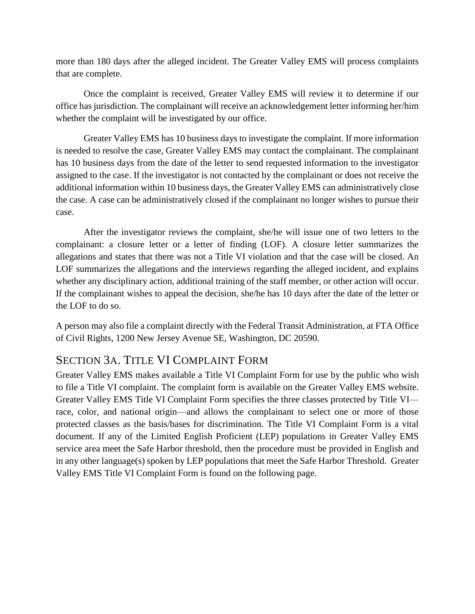more than 180 days after the alleged incident. The Greater Valley EMS will process complaints that are complete.

Once the complaint is received, Greater Valley EMS will review it to determine if our office has jurisdiction. The complainant will receive an acknowledgement letter informing her/him whether the complaint will be investigated by our office.

Greater Valley EMS has 10 business days to investigate the complaint. If more information is needed to resolve the case, Greater Valley EMS may contact the complainant. The complainant has 10 business days from the date of the letter to send requested information to the investigator assigned to the case. If the investigator is not contacted by the complainant or does not receive the additional information within 10 business days, the Greater Valley EMS can administratively close the case. A case can be administratively closed if the complainant no longer wishes to pursue their case.

After the investigator reviews the complaint, she/he will issue one of two letters to the complainant: a closure letter or a letter of finding (LOF). A closure letter summarizes the allegations and states that there was not a Title VI violation and that the case will be closed. An LOF summarizes the allegations and the interviews regarding the alleged incident, and explains whether any disciplinary action, additional training of the staff member, or other action will occur. If the complainant wishes to appeal the decision, she/he has 10 days after the date of the letter or the LOF to do so.

A person may also file a complaint directly with the Federal Transit Administration, at FTA Office of Civil Rights, 1200 New Jersey Avenue SE, Washington, DC 20590.

#### <span id="page-4-0"></span>SECTION 3A. TITLE VI COMPLAINT FORM

Greater Valley EMS makes available a Title VI Complaint Form for use by the public who wish to file a Title VI complaint. The complaint form is available on the Greater Valley EMS website. Greater Valley EMS Title VI Complaint Form specifies the three classes protected by Title VI race, color, and national origin—and allows the complainant to select one or more of those protected classes as the basis/bases for discrimination. The Title VI Complaint Form is a vital document. If any of the Limited English Proficient (LEP) populations in Greater Valley EMS service area meet the Safe Harbor threshold, then the procedure must be provided in English and in any other language(s) spoken by LEP populations that meet the Safe Harbor Threshold. Greater Valley EMS Title VI Complaint Form is found on the following page.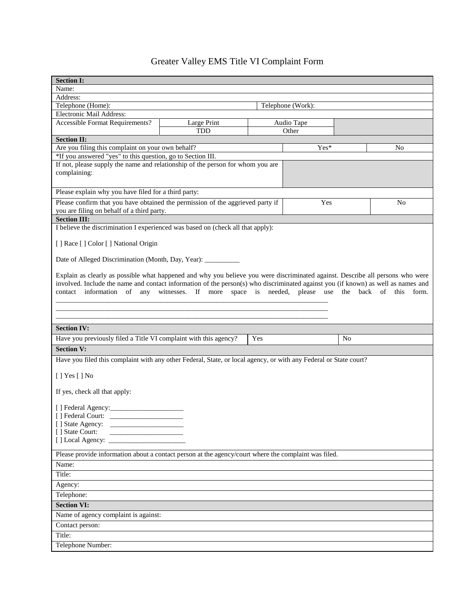# Greater Valley EMS Title VI Complaint Form

| <b>Section I:</b>                                                                                                                 |                                                                               |  |                     |  |    |  |  |  |  |
|-----------------------------------------------------------------------------------------------------------------------------------|-------------------------------------------------------------------------------|--|---------------------|--|----|--|--|--|--|
| Name:                                                                                                                             |                                                                               |  |                     |  |    |  |  |  |  |
| Address:                                                                                                                          |                                                                               |  |                     |  |    |  |  |  |  |
| Telephone (Home):<br>Telephone (Work):                                                                                            |                                                                               |  |                     |  |    |  |  |  |  |
| Electronic Mail Address:                                                                                                          |                                                                               |  |                     |  |    |  |  |  |  |
| <b>Accessible Format Requirements?</b>                                                                                            | Large Print<br><b>TDD</b>                                                     |  | Audio Tape<br>Other |  |    |  |  |  |  |
| <b>Section II:</b>                                                                                                                |                                                                               |  |                     |  |    |  |  |  |  |
|                                                                                                                                   | Are you filing this complaint on your own behalf?<br>$Yes*$<br>N <sub>0</sub> |  |                     |  |    |  |  |  |  |
| *If you answered "yes" to this question, go to Section III.                                                                       |                                                                               |  |                     |  |    |  |  |  |  |
| If not, please supply the name and relationship of the person for whom you are                                                    |                                                                               |  |                     |  |    |  |  |  |  |
| complaining:                                                                                                                      |                                                                               |  |                     |  |    |  |  |  |  |
|                                                                                                                                   |                                                                               |  |                     |  |    |  |  |  |  |
| Please explain why you have filed for a third party:                                                                              |                                                                               |  |                     |  |    |  |  |  |  |
| Please confirm that you have obtained the permission of the aggrieved party if<br>you are filing on behalf of a third party.      |                                                                               |  | Yes                 |  | No |  |  |  |  |
| <b>Section III:</b>                                                                                                               |                                                                               |  |                     |  |    |  |  |  |  |
| I believe the discrimination I experienced was based on (check all that apply):                                                   |                                                                               |  |                     |  |    |  |  |  |  |
|                                                                                                                                   |                                                                               |  |                     |  |    |  |  |  |  |
| [ ] Race [ ] Color [ ] National Origin                                                                                            |                                                                               |  |                     |  |    |  |  |  |  |
| Date of Alleged Discrimination (Month, Day, Year): ______________________________                                                 |                                                                               |  |                     |  |    |  |  |  |  |
| Explain as clearly as possible what happened and why you believe you were discriminated against. Describe all persons who were    |                                                                               |  |                     |  |    |  |  |  |  |
| involved. Include the name and contact information of the person(s) who discriminated against you (if known) as well as names and |                                                                               |  |                     |  |    |  |  |  |  |
| contact information of any witnesses. If more space is needed, please use the back of this form.                                  |                                                                               |  |                     |  |    |  |  |  |  |
|                                                                                                                                   |                                                                               |  |                     |  |    |  |  |  |  |
|                                                                                                                                   |                                                                               |  |                     |  |    |  |  |  |  |
|                                                                                                                                   |                                                                               |  |                     |  |    |  |  |  |  |
| <b>Section IV:</b>                                                                                                                |                                                                               |  |                     |  |    |  |  |  |  |
| Have you previously filed a Title VI complaint with this agency?<br>Yes<br>N <sub>0</sub>                                         |                                                                               |  |                     |  |    |  |  |  |  |
| <b>Section V:</b>                                                                                                                 |                                                                               |  |                     |  |    |  |  |  |  |
| Have you filed this complaint with any other Federal, State, or local agency, or with any Federal or State court?                 |                                                                               |  |                     |  |    |  |  |  |  |
|                                                                                                                                   |                                                                               |  |                     |  |    |  |  |  |  |
| [ ] Yes [ ] No                                                                                                                    |                                                                               |  |                     |  |    |  |  |  |  |
| If yes, check all that apply:                                                                                                     |                                                                               |  |                     |  |    |  |  |  |  |
|                                                                                                                                   |                                                                               |  |                     |  |    |  |  |  |  |
| [ ] Federal Court:                                                                                                                |                                                                               |  |                     |  |    |  |  |  |  |
| [ ] State Agency:                                                                                                                 |                                                                               |  |                     |  |    |  |  |  |  |
| [] State Court:                                                                                                                   |                                                                               |  |                     |  |    |  |  |  |  |
| [] Local Agency:                                                                                                                  |                                                                               |  |                     |  |    |  |  |  |  |
| Please provide information about a contact person at the agency/court where the complaint was filed.                              |                                                                               |  |                     |  |    |  |  |  |  |
| Name:                                                                                                                             |                                                                               |  |                     |  |    |  |  |  |  |
| Title:                                                                                                                            |                                                                               |  |                     |  |    |  |  |  |  |
| Agency:                                                                                                                           |                                                                               |  |                     |  |    |  |  |  |  |
| Telephone:                                                                                                                        |                                                                               |  |                     |  |    |  |  |  |  |
| <b>Section VI:</b>                                                                                                                |                                                                               |  |                     |  |    |  |  |  |  |
| Name of agency complaint is against:                                                                                              |                                                                               |  |                     |  |    |  |  |  |  |
| Contact person:                                                                                                                   |                                                                               |  |                     |  |    |  |  |  |  |
| Title:                                                                                                                            |                                                                               |  |                     |  |    |  |  |  |  |
| Telephone Number:                                                                                                                 |                                                                               |  |                     |  |    |  |  |  |  |
|                                                                                                                                   |                                                                               |  |                     |  |    |  |  |  |  |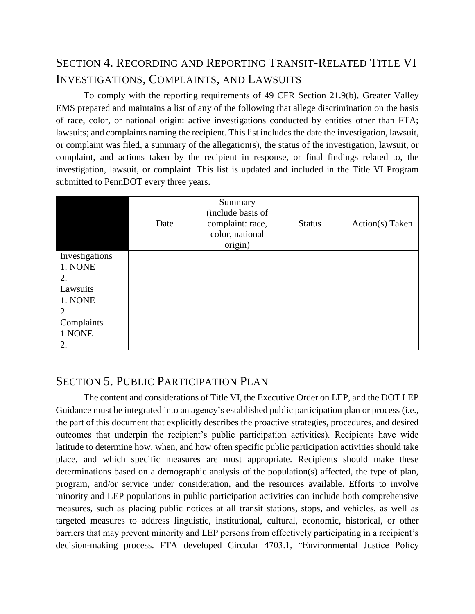## <span id="page-6-0"></span>SECTION 4. RECORDING AND REPORTING TRANSIT-RELATED TITLE VI INVESTIGATIONS, COMPLAINTS, AND LAWSUITS

To comply with the reporting requirements of 49 CFR Section 21.9(b), Greater Valley EMS prepared and maintains a list of any of the following that allege discrimination on the basis of race, color, or national origin: active investigations conducted by entities other than FTA; lawsuits; and complaints naming the recipient. This list includes the date the investigation, lawsuit, or complaint was filed, a summary of the allegation(s), the status of the investigation, lawsuit, or complaint, and actions taken by the recipient in response, or final findings related to, the investigation, lawsuit, or complaint. This list is updated and included in the Title VI Program submitted to PennDOT every three years.

|                | Date | Summary<br>(include basis of<br>complaint: race,<br>color, national<br>origin) | <b>Status</b> | Action(s) Taken |
|----------------|------|--------------------------------------------------------------------------------|---------------|-----------------|
| Investigations |      |                                                                                |               |                 |
| 1. NONE        |      |                                                                                |               |                 |
| 2.             |      |                                                                                |               |                 |
| Lawsuits       |      |                                                                                |               |                 |
| 1. NONE        |      |                                                                                |               |                 |
| 2.             |      |                                                                                |               |                 |
| Complaints     |      |                                                                                |               |                 |
| 1.NONE         |      |                                                                                |               |                 |
| 2.             |      |                                                                                |               |                 |

#### <span id="page-6-1"></span>SECTION 5. PUBLIC PARTICIPATION PLAN

The content and considerations of Title VI, the Executive Order on LEP, and the DOT LEP Guidance must be integrated into an agency's established public participation plan or process (i.e., the part of this document that explicitly describes the proactive strategies, procedures, and desired outcomes that underpin the recipient's public participation activities). Recipients have wide latitude to determine how, when, and how often specific public participation activities should take place, and which specific measures are most appropriate. Recipients should make these determinations based on a demographic analysis of the population(s) affected, the type of plan, program, and/or service under consideration, and the resources available. Efforts to involve minority and LEP populations in public participation activities can include both comprehensive measures, such as placing public notices at all transit stations, stops, and vehicles, as well as targeted measures to address linguistic, institutional, cultural, economic, historical, or other barriers that may prevent minority and LEP persons from effectively participating in a recipient's decision-making process. FTA developed Circular 4703.1, "Environmental Justice Policy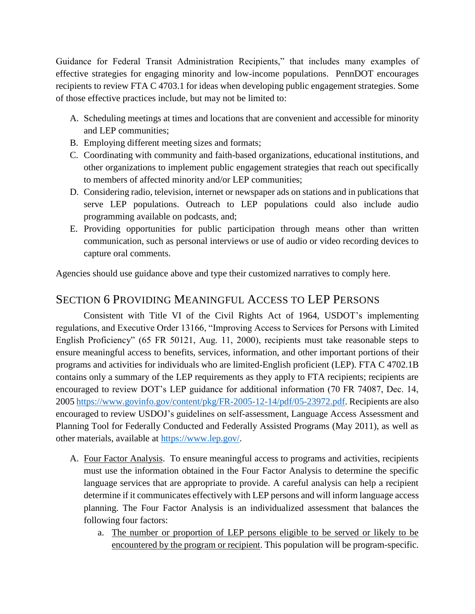Guidance for Federal Transit Administration Recipients," that includes many examples of effective strategies for engaging minority and low-income populations. PennDOT encourages recipients to review FTA C 4703.1 for ideas when developing public engagement strategies. Some of those effective practices include, but may not be limited to:

- A. Scheduling meetings at times and locations that are convenient and accessible for minority and LEP communities;
- B. Employing different meeting sizes and formats;
- C. Coordinating with community and faith-based organizations, educational institutions, and other organizations to implement public engagement strategies that reach out specifically to members of affected minority and/or LEP communities;
- D. Considering radio, television, internet or newspaper ads on stations and in publications that serve LEP populations. Outreach to LEP populations could also include audio programming available on podcasts, and;
- E. Providing opportunities for public participation through means other than written communication, such as personal interviews or use of audio or video recording devices to capture oral comments.

Agencies should use guidance above and type their customized narratives to comply here.

## <span id="page-7-0"></span>SECTION 6 PROVIDING MEANINGFUL ACCESS TO LEP PERSONS

Consistent with Title VI of the Civil Rights Act of 1964, USDOT's implementing regulations, and Executive Order 13166, "Improving Access to Services for Persons with Limited English Proficiency" (65 FR 50121, Aug. 11, 2000), recipients must take reasonable steps to ensure meaningful access to benefits, services, information, and other important portions of their programs and activities for individuals who are limited-English proficient (LEP). FTA C 4702.1B contains only a summary of the LEP requirements as they apply to FTA recipients; recipients are encouraged to review DOT's LEP guidance for additional information (70 FR 74087, Dec. 14, 2005 [https://www.govinfo.gov/content/pkg/FR-2005-12-14/pdf/05-23972.pdf.](https://www.govinfo.gov/content/pkg/FR-2005-12-14/pdf/05-23972.pdf) Recipients are also encouraged to review USDOJ's guidelines on self-assessment, Language Access Assessment and Planning Tool for Federally Conducted and Federally Assisted Programs (May 2011), as well as other materials, available at [https://www.lep.gov/.](https://www.lep.gov/)

- A. Four Factor Analysis. To ensure meaningful access to programs and activities, recipients must use the information obtained in the Four Factor Analysis to determine the specific language services that are appropriate to provide. A careful analysis can help a recipient determine if it communicates effectively with LEP persons and will inform language access planning. The Four Factor Analysis is an individualized assessment that balances the following four factors:
	- a. The number or proportion of LEP persons eligible to be served or likely to be encountered by the program or recipient. This population will be program-specific.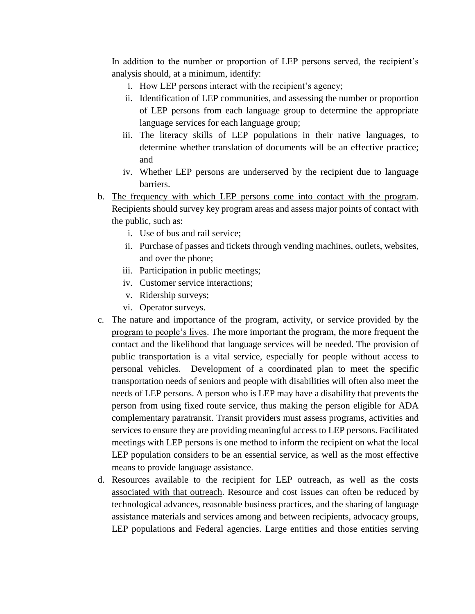In addition to the number or proportion of LEP persons served, the recipient's analysis should, at a minimum, identify:

- i. How LEP persons interact with the recipient's agency;
- ii. Identification of LEP communities, and assessing the number or proportion of LEP persons from each language group to determine the appropriate language services for each language group;
- iii. The literacy skills of LEP populations in their native languages, to determine whether translation of documents will be an effective practice; and
- iv. Whether LEP persons are underserved by the recipient due to language barriers.
- b. The frequency with which LEP persons come into contact with the program. Recipients should survey key program areas and assess major points of contact with the public, such as:
	- i. Use of bus and rail service;
	- ii. Purchase of passes and tickets through vending machines, outlets, websites, and over the phone;
	- iii. Participation in public meetings;
	- iv. Customer service interactions;
	- v. Ridership surveys;
	- vi. Operator surveys.
- c. The nature and importance of the program, activity, or service provided by the program to people's lives. The more important the program, the more frequent the contact and the likelihood that language services will be needed. The provision of public transportation is a vital service, especially for people without access to personal vehicles. Development of a coordinated plan to meet the specific transportation needs of seniors and people with disabilities will often also meet the needs of LEP persons. A person who is LEP may have a disability that prevents the person from using fixed route service, thus making the person eligible for ADA complementary paratransit. Transit providers must assess programs, activities and services to ensure they are providing meaningful access to LEP persons. Facilitated meetings with LEP persons is one method to inform the recipient on what the local LEP population considers to be an essential service, as well as the most effective means to provide language assistance.
- d. Resources available to the recipient for LEP outreach, as well as the costs associated with that outreach. Resource and cost issues can often be reduced by technological advances, reasonable business practices, and the sharing of language assistance materials and services among and between recipients, advocacy groups, LEP populations and Federal agencies. Large entities and those entities serving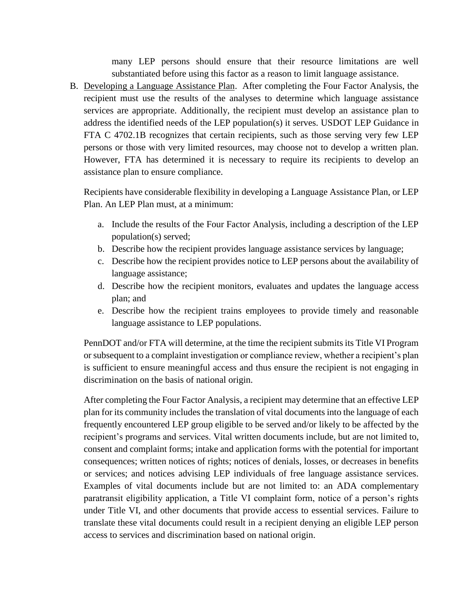many LEP persons should ensure that their resource limitations are well substantiated before using this factor as a reason to limit language assistance.

B. Developing a Language Assistance Plan. After completing the Four Factor Analysis, the recipient must use the results of the analyses to determine which language assistance services are appropriate. Additionally, the recipient must develop an assistance plan to address the identified needs of the LEP population(s) it serves. USDOT LEP Guidance in FTA C 4702.1B recognizes that certain recipients, such as those serving very few LEP persons or those with very limited resources, may choose not to develop a written plan. However, FTA has determined it is necessary to require its recipients to develop an assistance plan to ensure compliance.

Recipients have considerable flexibility in developing a Language Assistance Plan, or LEP Plan. An LEP Plan must, at a minimum:

- a. Include the results of the Four Factor Analysis, including a description of the LEP population(s) served;
- b. Describe how the recipient provides language assistance services by language;
- c. Describe how the recipient provides notice to LEP persons about the availability of language assistance;
- d. Describe how the recipient monitors, evaluates and updates the language access plan; and
- e. Describe how the recipient trains employees to provide timely and reasonable language assistance to LEP populations.

PennDOT and/or FTA will determine, at the time the recipient submits its Title VI Program or subsequent to a complaint investigation or compliance review, whether a recipient's plan is sufficient to ensure meaningful access and thus ensure the recipient is not engaging in discrimination on the basis of national origin.

After completing the Four Factor Analysis, a recipient may determine that an effective LEP plan for its community includes the translation of vital documents into the language of each frequently encountered LEP group eligible to be served and/or likely to be affected by the recipient's programs and services. Vital written documents include, but are not limited to, consent and complaint forms; intake and application forms with the potential for important consequences; written notices of rights; notices of denials, losses, or decreases in benefits or services; and notices advising LEP individuals of free language assistance services. Examples of vital documents include but are not limited to: an ADA complementary paratransit eligibility application, a Title VI complaint form, notice of a person's rights under Title VI, and other documents that provide access to essential services. Failure to translate these vital documents could result in a recipient denying an eligible LEP person access to services and discrimination based on national origin.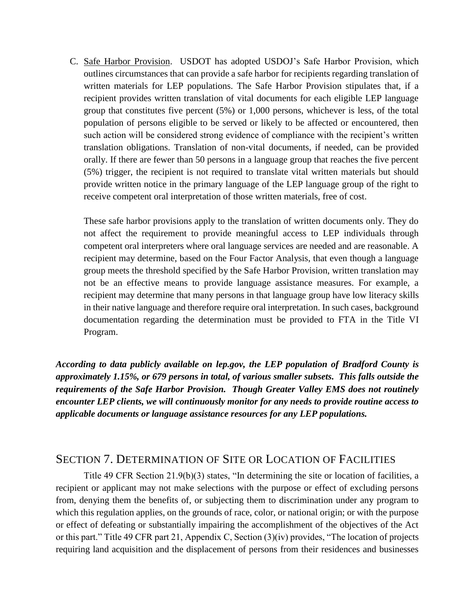C. Safe Harbor Provision. USDOT has adopted USDOJ's Safe Harbor Provision, which outlines circumstances that can provide a safe harbor for recipients regarding translation of written materials for LEP populations. The Safe Harbor Provision stipulates that, if a recipient provides written translation of vital documents for each eligible LEP language group that constitutes five percent (5%) or 1,000 persons, whichever is less, of the total population of persons eligible to be served or likely to be affected or encountered, then such action will be considered strong evidence of compliance with the recipient's written translation obligations. Translation of non-vital documents, if needed, can be provided orally. If there are fewer than 50 persons in a language group that reaches the five percent (5%) trigger, the recipient is not required to translate vital written materials but should provide written notice in the primary language of the LEP language group of the right to receive competent oral interpretation of those written materials, free of cost.

These safe harbor provisions apply to the translation of written documents only. They do not affect the requirement to provide meaningful access to LEP individuals through competent oral interpreters where oral language services are needed and are reasonable. A recipient may determine, based on the Four Factor Analysis, that even though a language group meets the threshold specified by the Safe Harbor Provision, written translation may not be an effective means to provide language assistance measures. For example, a recipient may determine that many persons in that language group have low literacy skills in their native language and therefore require oral interpretation. In such cases, background documentation regarding the determination must be provided to FTA in the Title VI Program.

*According to data publicly available on lep.gov, the LEP population of Bradford County is approximately 1.15%, or 679 persons in total, of various smaller subsets. This falls outside the requirements of the Safe Harbor Provision. Though Greater Valley EMS does not routinely encounter LEP clients, we will continuously monitor for any needs to provide routine access to applicable documents or language assistance resources for any LEP populations.*

#### <span id="page-10-0"></span>SECTION 7. DETERMINATION OF SITE OR LOCATION OF FACILITIES

Title 49 CFR Section 21.9(b)(3) states, "In determining the site or location of facilities, a recipient or applicant may not make selections with the purpose or effect of excluding persons from, denying them the benefits of, or subjecting them to discrimination under any program to which this regulation applies, on the grounds of race, color, or national origin; or with the purpose or effect of defeating or substantially impairing the accomplishment of the objectives of the Act or this part." Title 49 CFR part 21, Appendix C, Section (3)(iv) provides, "The location of projects requiring land acquisition and the displacement of persons from their residences and businesses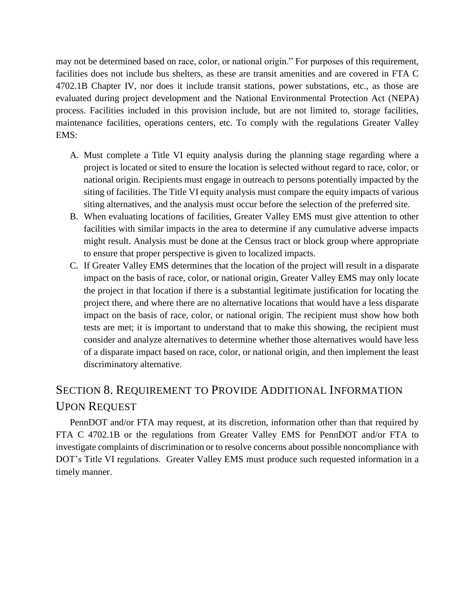may not be determined based on race, color, or national origin." For purposes of this requirement, facilities does not include bus shelters, as these are transit amenities and are covered in FTA C 4702.1B Chapter IV, nor does it include transit stations, power substations, etc., as those are evaluated during project development and the National Environmental Protection Act (NEPA) process. Facilities included in this provision include, but are not limited to, storage facilities, maintenance facilities, operations centers, etc. To comply with the regulations Greater Valley EMS:

- A. Must complete a Title VI equity analysis during the planning stage regarding where a project is located or sited to ensure the location is selected without regard to race, color, or national origin. Recipients must engage in outreach to persons potentially impacted by the siting of facilities. The Title VI equity analysis must compare the equity impacts of various siting alternatives, and the analysis must occur before the selection of the preferred site.
- B. When evaluating locations of facilities, Greater Valley EMS must give attention to other facilities with similar impacts in the area to determine if any cumulative adverse impacts might result. Analysis must be done at the Census tract or block group where appropriate to ensure that proper perspective is given to localized impacts.
- C. If Greater Valley EMS determines that the location of the project will result in a disparate impact on the basis of race, color, or national origin, Greater Valley EMS may only locate the project in that location if there is a substantial legitimate justification for locating the project there, and where there are no alternative locations that would have a less disparate impact on the basis of race, color, or national origin. The recipient must show how both tests are met; it is important to understand that to make this showing, the recipient must consider and analyze alternatives to determine whether those alternatives would have less of a disparate impact based on race, color, or national origin, and then implement the least discriminatory alternative.

## <span id="page-11-0"></span>SECTION 8. REQUIREMENT TO PROVIDE ADDITIONAL INFORMATION UPON REQUEST

PennDOT and/or FTA may request, at its discretion, information other than that required by FTA C 4702.1B or the regulations from Greater Valley EMS for PennDOT and/or FTA to investigate complaints of discrimination or to resolve concerns about possible noncompliance with DOT's Title VI regulations. Greater Valley EMS must produce such requested information in a timely manner.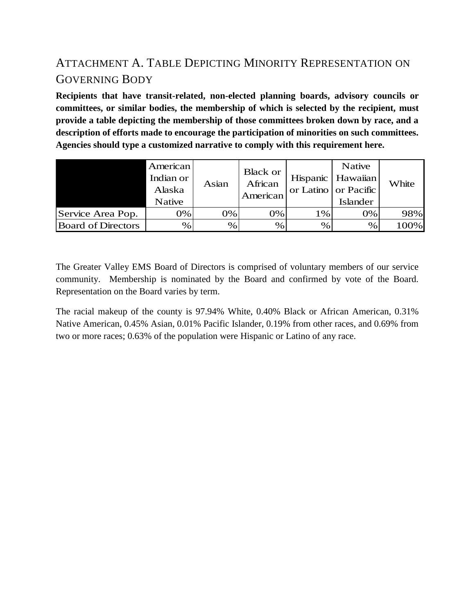# <span id="page-12-0"></span>ATTACHMENT A. TABLE DEPICTING MINORITY REPRESENTATION ON GOVERNING BODY

**Recipients that have transit-related, non-elected planning boards, advisory councils or committees, or similar bodies, the membership of which is selected by the recipient, must provide a table depicting the membership of those committees broken down by race, and a description of efforts made to encourage the participation of minorities on such committees. Agencies should type a customized narrative to comply with this requirement here.**

|                           | American<br>Indian or<br>Alaska<br><b>Native</b> | Asian | <b>Black or</b><br>African<br>American |      | Native<br>Hispanic   Hawaiian<br>or Latino or Pacific<br>Islander | White |
|---------------------------|--------------------------------------------------|-------|----------------------------------------|------|-------------------------------------------------------------------|-------|
| Service Area Pop.         | 0%                                               | 0%    | 0%                                     | 1%   | 0%                                                                | 98%   |
| <b>Board of Directors</b> | %                                                | %     | %                                      | $\%$ | $\%$                                                              | 100%  |

The Greater Valley EMS Board of Directors is comprised of voluntary members of our service community. Membership is nominated by the Board and confirmed by vote of the Board. Representation on the Board varies by term.

The racial makeup of the county is 97.94% White, 0.40% Black or African American, 0.31% Native American, 0.45% Asian, 0.01% Pacific Islander, 0.19% from other races, and 0.69% from two or more races; 0.63% of the population were Hispanic or Latino of any race.